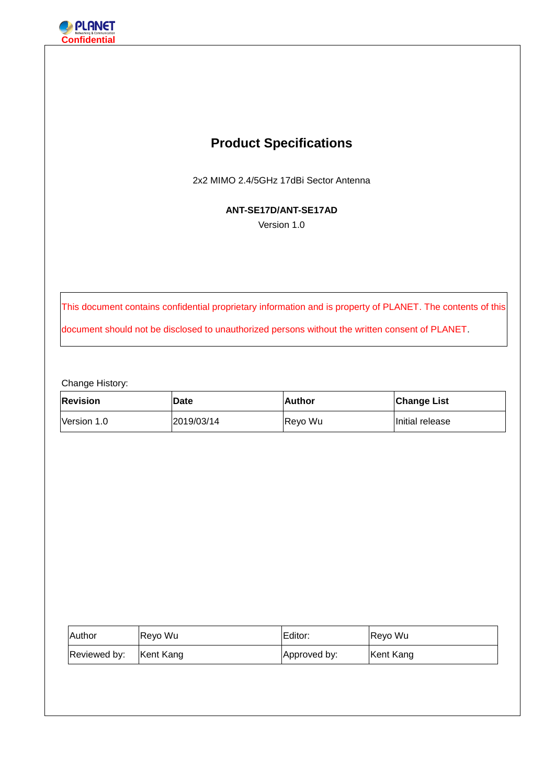

# **Product Specifications**

2x2 MIMO 2.4/5GHz 17dBi Sector Antenna

**ANT-SE17D/ANT-SE17AD**

Version 1.0

This document contains confidential proprietary information and is property of PLANET. The contents of this document should not be disclosed to unauthorized persons without the written consent of PLANET.

Change History:

| <b>Revision</b> | <b>Date</b> | <b>Author</b> | <b>Change List</b> |
|-----------------|-------------|---------------|--------------------|
| Version 1.0     | 2019/03/14  | Revo Wu       | Initial release    |

| Author       | Reyo Wu   | Editor:      | Reyo Wu   |
|--------------|-----------|--------------|-----------|
| Reviewed by: | Kent Kang | Approved by: | Kent Kang |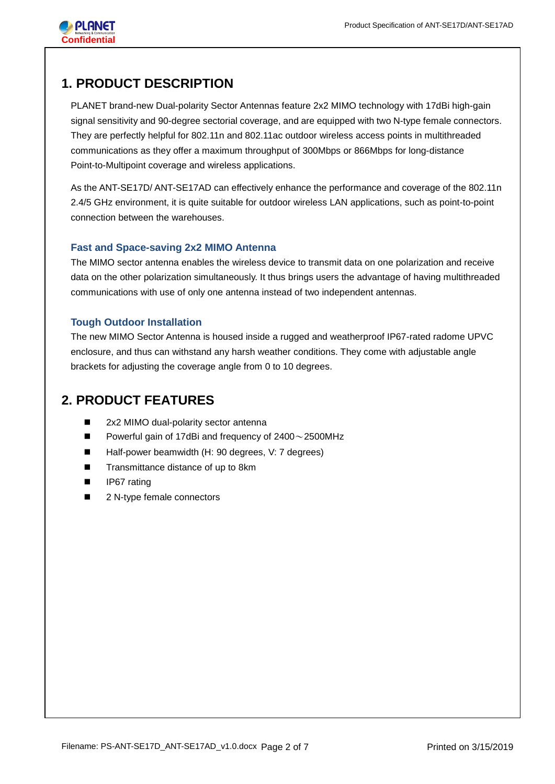

## **1. PRODUCT DESCRIPTION**

PLANET brand-new Dual-polarity Sector Antennas feature 2x2 MIMO technology with 17dBi high-gain signal sensitivity and 90-degree sectorial coverage, and are equipped with two N-type female connectors. They are perfectly helpful for 802.11n and 802.11ac outdoor wireless access points in multithreaded communications as they offer a maximum throughput of 300Mbps or 866Mbps for long-distance Point-to-Multipoint coverage and wireless applications.

As the ANT-SE17D/ ANT-SE17AD can effectively enhance the performance and coverage of the 802.11n 2.4/5 GHz environment, it is quite suitable for outdoor wireless LAN applications, such as point-to-point connection between the warehouses.

## **Fast and Space-saving 2x2 MIMO Antenna**

The MIMO sector antenna enables the wireless device to transmit data on one polarization and receive data on the other polarization simultaneously. It thus brings users the advantage of having multithreaded communications with use of only one antenna instead of two independent antennas.

## **Tough Outdoor Installation**

The new MIMO Sector Antenna is housed inside a rugged and weatherproof IP67-rated radome UPVC enclosure, and thus can withstand any harsh weather conditions. They come with adjustable angle brackets for adjusting the coverage angle from 0 to 10 degrees.

## **2. PRODUCT FEATURES**

- 2x2 MIMO dual-polarity sector antenna
- **Powerful gain of 17dBi and frequency of 2400**  $\sim$  **2500MHz**
- Half-power beamwidth (H: 90 degrees, V: 7 degrees)
- Transmittance distance of up to 8km
- IP67 rating
- 2 N-type female connectors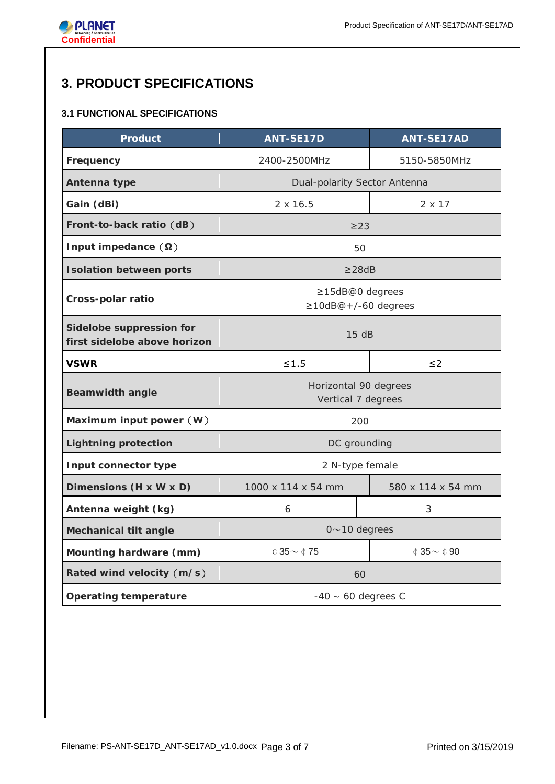

# **3. PRODUCT SPECIFICATIONS**

## **3.1 FUNCTIONAL SPECIFICATIONS**

| <b>Product</b>                                           | <b>ANT-SE17D</b>                             | <b>ANT-SE17AD</b>            |  |
|----------------------------------------------------------|----------------------------------------------|------------------------------|--|
| Frequency                                                | 2400-2500MHz                                 | 5150-5850MHz                 |  |
| Antenna type                                             | Dual-polarity Sector Antenna                 |                              |  |
| Gain (dBi)                                               | $2 \times 16.5$                              | 2 x 17                       |  |
| Front-to-back ratio (dB)                                 | $\geq$ 23                                    |                              |  |
| Input impedance $(\Omega)$                               | 50                                           |                              |  |
| <b>Isolation between ports</b>                           | $\geq$ 28dB                                  |                              |  |
| Cross-polar ratio                                        | ≥15dB@0 degrees<br>$\geq$ 10dB@+/-60 degrees |                              |  |
| Sidelobe suppression for<br>first sidelobe above horizon | 15dB                                         |                              |  |
| <b>VSWR</b>                                              | $\leq 1.5$                                   | $\leq$ 2                     |  |
| <b>Beamwidth angle</b>                                   | Horizontal 90 degrees<br>Vertical 7 degrees  |                              |  |
| Maximum input power (W)                                  | 200                                          |                              |  |
| <b>Lightning protection</b>                              | DC grounding                                 |                              |  |
| Input connector type                                     | 2 N-type female                              |                              |  |
| Dimensions (H x W x D)                                   | 1000 x 114 x 54 mm                           | 580 x 114 x 54 mm            |  |
| Antenna weight (kg)                                      | 6                                            | 3                            |  |
| <b>Mechanical tilt angle</b>                             | $0 \sim 10$ degrees                          |                              |  |
| Mounting hardware (mm)                                   | $$35\sim$475$                                | $\circ$ 35 $\sim$ $\circ$ 90 |  |
| Rated wind velocity (m/s)                                | 60                                           |                              |  |
| <b>Operating temperature</b>                             | $-40 \sim 60$ degrees C                      |                              |  |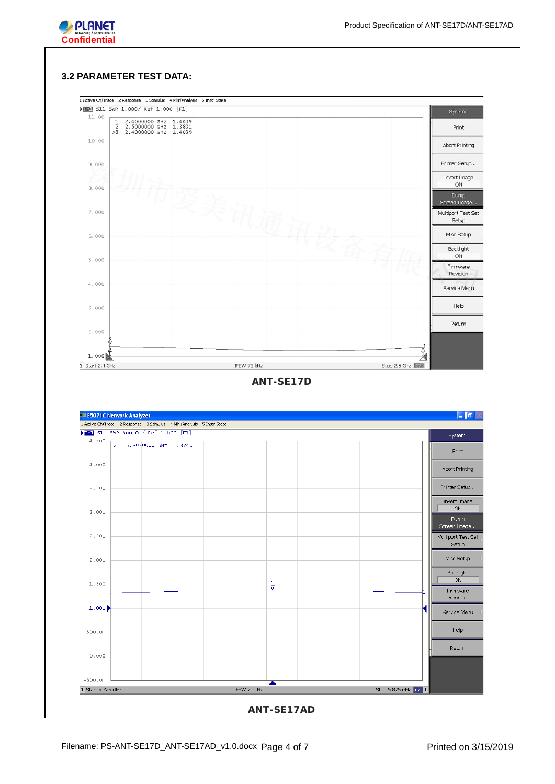

#### **3.2 PARAMETER TEST DATA:**

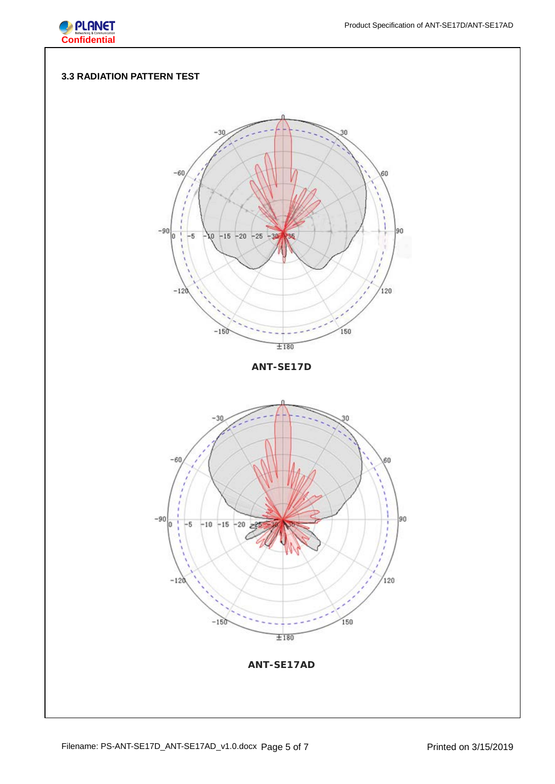

## **3.3 RADIATION PATTERN TEST**

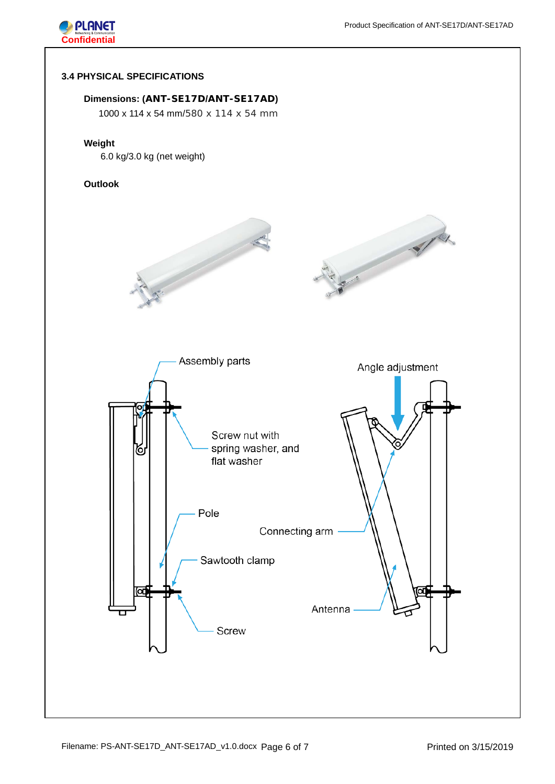



### **3.4 PHYSICAL SPECIFICATIONS**

## **Dimensions: (ANT-SE17D/ANT-SE17AD)**

1000 x 114 x 54 mm/580 x 114 x 54 mm

#### **Weight**

6.0 kg/3.0 kg (net weight)

### **Outlook**